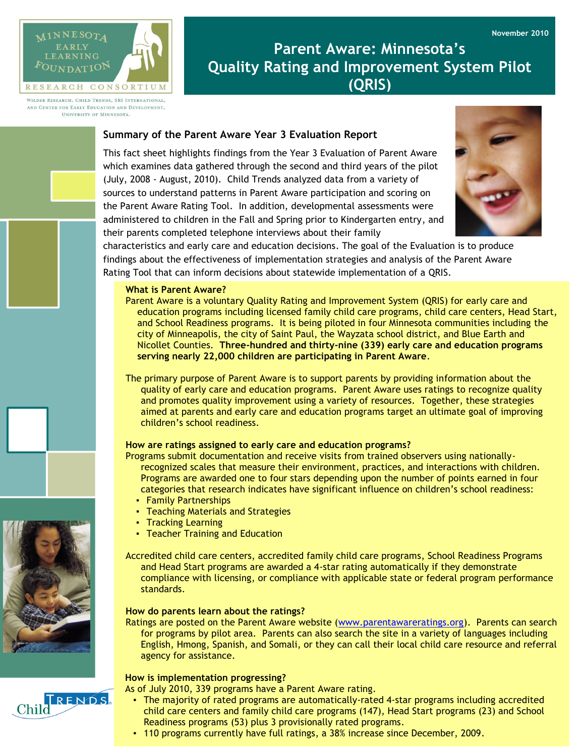



WILDER RESEARCH, CHILD TRENDS, SRI INTERNATIONAL, AND CENTER FOR EARLY EDUCATION AND DEVELOPMENT. UNIVERSITY OF MINNESOTA.

# **Parent Aware: Minnesota's Quality Rating and Improvement System Pilot (QRIS)**

## **Summary of the Parent Aware Year 3 Evaluation Report**

This fact sheet highlights findings from the Year 3 Evaluation of Parent Aware which examines data gathered through the second and third years of the pilot (July, 2008 - August, 2010). Child Trends analyzed data from a variety of sources to understand patterns in Parent Aware participation and scoring on the Parent Aware Rating Tool. In addition, developmental assessments were administered to children in the Fall and Spring prior to Kindergarten entry, and their parents completed telephone interviews about their family



characteristics and early care and education decisions. The goal of the Evaluation is to produce findings about the effectiveness of implementation strategies and analysis of the Parent Aware Rating Tool that can inform decisions about statewide implementation of a QRIS.

#### **What is Parent Aware?**

Parent Aware is a voluntary Quality Rating and Improvement System (QRIS) for early care and education programs including licensed family child care programs, child care centers, Head Start, and School Readiness programs. It is being piloted in four Minnesota communities including the city of Minneapolis, the city of Saint Paul, the Wayzata school district, and Blue Earth and Nicollet Counties. **Three-hundred and thirty-nine (339) early care and education programs serving nearly 22,000 children are participating in Parent Aware**.

The primary purpose of Parent Aware is to support parents by providing information about the quality of early care and education programs. Parent Aware uses ratings to recognize quality and promotes quality improvement using a variety of resources. Together, these strategies aimed at parents and early care and education programs target an ultimate goal of improving children's school readiness.

## **How are ratings assigned to early care and education programs?**

Programs submit documentation and receive visits from trained observers using nationallyrecognized scales that measure their environment, practices, and interactions with children. Programs are awarded one to four stars depending upon the number of points earned in four categories that research indicates have significant influence on children's school readiness:

- Family Partnerships
- Teaching Materials and Strategies
- Tracking Learning
- Teacher Training and Education

Accredited child care centers, accredited family child care programs, School Readiness Programs and Head Start programs are awarded a 4-star rating automatically if they demonstrate compliance with licensing, or compliance with applicable state or federal program performance standards.

#### **How do parents learn about the ratings?**

Ratings are posted on the Parent Aware website [\(www.parentawareratings.org\)](http://www.parentawareratings.org/). Parents can search for programs by pilot area. Parents can also search the site in a variety of languages including English, Hmong, Spanish, and Somali, or they can call their local child care resource and referral agency for assistance.

#### **How is implementation progressing?**

As of July 2010, 339 programs have a Parent Aware rating.

- The majority of rated programs are automatically-rated 4-star programs including accredited child care centers and family child care programs (147), Head Start programs (23) and School Readiness programs (53) plus 3 provisionally rated programs.
- 110 programs currently have full ratings, a 38% increase since December, 2009.